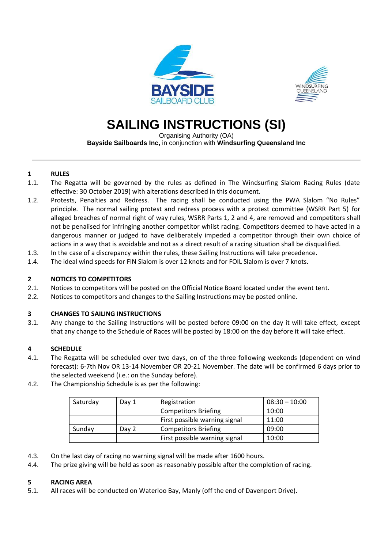



# **SAILING INSTRUCTIONS (SI)**

Organising Authority (OA)

**Bayside Sailboards Inc,** in conjunction with **Windsurfing Queensland Inc**

# **1 RULES**

- 1.1. The Regatta will be governed by the rules as defined in The Windsurfing Slalom Racing Rules (date effective: 30 October 2019) with alterations described in this document.
- 1.2. Protests, Penalties and Redress. The racing shall be conducted using the PWA Slalom "No Rules" principle. The normal sailing protest and redress process with a protest committee (WSRR Part 5) for alleged breaches of normal right of way rules, WSRR Parts 1, 2 and 4, are removed and competitors shall not be penalised for infringing another competitor whilst racing. Competitors deemed to have acted in a dangerous manner or judged to have deliberately impeded a competitor through their own choice of actions in a way that is avoidable and not as a direct result of a racing situation shall be disqualified.
- 1.3. In the case of a discrepancy within the rules, these Sailing Instructions will take precedence.
- 1.4. The ideal wind speeds for FIN Slalom is over 12 knots and for FOIL Slalom is over 7 knots.

# **2 NOTICES TO COMPETITORS**

- 2.1. Notices to competitors will be posted on the Official Notice Board located under the event tent.
- 2.2. Notices to competitors and changes to the Sailing Instructions may be posted online.

# **3 CHANGES TO SAILING INSTRUCTIONS**

3.1. Any change to the Sailing Instructions will be posted before 09:00 on the day it will take effect, except that any change to the Schedule of Races will be posted by 18:00 on the day before it will take effect.

# **4 SCHEDULE**

- 4.1. The Regatta will be scheduled over two days, on of the three following weekends (dependent on wind forecast): 6-7th Nov OR 13-14 November OR 20-21 November. The date will be confirmed 6 days prior to the selected weekend (i.e.: on the Sunday before).
- 4.2. The Championship Schedule is as per the following:

| Saturday        | Day 1 | Registration                  | $08:30 - 10:00$ |
|-----------------|-------|-------------------------------|-----------------|
|                 |       | <b>Competitors Briefing</b>   | 10:00           |
|                 |       | First possible warning signal | 11:00           |
| Sunday<br>Day 2 |       | <b>Competitors Briefing</b>   | 09:00           |
|                 |       | First possible warning signal | 10:00           |

- 4.3. On the last day of racing no warning signal will be made after 1600 hours.
- 4.4. The prize giving will be held as soon as reasonably possible after the completion of racing.

# **5 RACING AREA**

5.1. All races will be conducted on Waterloo Bay, Manly (off the end of Davenport Drive).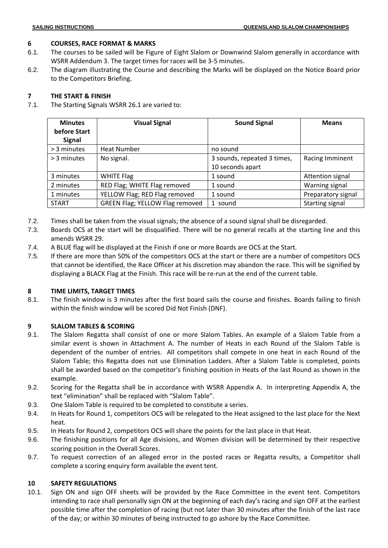# **6 COURSES, RACE FORMAT & MARKS**

- 6.1. The courses to be sailed will be Figure of Eight Slalom or Downwind Slalom generally in accordance with WSRR Addendum 3. The target times for races will be 3-5 minutes.
- 6.2. The diagram illustrating the Course and describing the Marks will be displayed on the Notice Board prior to the Competitors Briefing.

# **7 THE START & FINISH**

7.1. The Starting Signals WSRR 26.1 are varied to:

| <b>Minutes</b><br>before Start<br><b>Signal</b> | <b>Visual Signal</b>                   | <b>Sound Signal</b>         | <b>Means</b>       |
|-------------------------------------------------|----------------------------------------|-----------------------------|--------------------|
| > 3 minutes                                     | <b>Heat Number</b>                     | no sound                    |                    |
| > 3 minutes                                     | No signal.                             | 3 sounds, repeated 3 times, | Racing Imminent    |
|                                                 |                                        | 10 seconds apart            |                    |
| 3 minutes                                       | <b>WHITE Flag</b>                      | 1 sound                     | Attention signal   |
| 2 minutes                                       | RED Flag; WHITE Flag removed           | 1 sound                     | Warning signal     |
| 1 minutes                                       | YELLOW Flag; RED Flag removed          | 1 sound                     | Preparatory signal |
| <b>START</b>                                    | <b>GREEN Flag; YELLOW Flag removed</b> | 1 sound                     | Starting signal    |

- 7.2. Times shall be taken from the visual signals; the absence of a sound signal shall be disregarded.
- 7.3. Boards OCS at the start will be disqualified. There will be no general recalls at the starting line and this amends WSRR 29.
- 7.4. A BLUE flag will be displayed at the Finish if one or more Boards are OCS at the Start.
- 7.5. If there are more than 50% of the competitors OCS at the start or there are a number of competitors OCS that cannot be identified, the Race Officer at his discretion may abandon the race. This will be signified by displaying a BLACK Flag at the Finish. This race will be re-run at the end of the current table.

# **8 TIME LIMITS, TARGET TIMES**

8.1. The finish window is 3 minutes after the first board sails the course and finishes. Boards failing to finish within the finish window will be scored Did Not Finish (DNF).

# **9 SLALOM TABLES & SCORING**

- 9.1. The Slalom Regatta shall consist of one or more Slalom Tables. An example of a Slalom Table from a similar event is shown in Attachment A. The number of Heats in each Round of the Slalom Table is dependent of the number of entries. All competitors shall compete in one heat in each Round of the Slalom Table; this Regatta does not use Elimination Ladders. After a Slalom Table is completed, points shall be awarded based on the competitor's finishing position in Heats of the last Round as shown in the example.
- 9.2. Scoring for the Regatta shall be in accordance with WSRR Appendix A. In interpreting Appendix A, the text "elimination" shall be replaced with "Slalom Table".
- 9.3. One Slalom Table is required to be completed to constitute a series.
- 9.4. In Heats for Round 1, competitors OCS will be relegated to the Heat assigned to the last place for the Next heat.
- 9.5. In Heats for Round 2, competitors OCS will share the points for the last place in that Heat.
- 9.6. The finishing positions for all Age divisions, and Women division will be determined by their respective scoring position in the Overall Scores.
- 9.7. To request correction of an alleged error in the posted races or Regatta results, a Competitor shall complete a scoring enquiry form available the event tent.

# **10 SAFETY REGULATIONS**

10.1. Sign ON and sign OFF sheets will be provided by the Race Committee in the event tent. Competitors intending to race shall personally sign ON at the beginning of each day's racing and sign OFF at the earliest possible time after the completion of racing (but not later than 30 minutes after the finish of the last race of the day; or within 30 minutes of being instructed to go ashore by the Race Committee.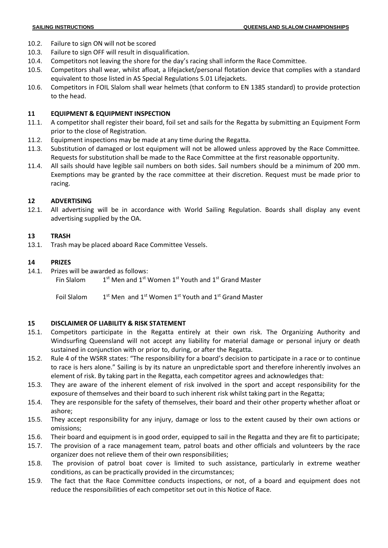- 10.2. Failure to sign ON will not be scored
- 10.3. Failure to sign OFF will result in disqualification.
- 10.4. Competitors not leaving the shore for the day's racing shall inform the Race Committee.
- 10.5. Competitors shall wear, whilst afloat, a lifejacket/personal flotation device that complies with a standard equivalent to those listed in AS Special Regulations 5.01 Lifejackets.
- 10.6. Competitors in FOIL Slalom shall wear helmets (that conform to EN 1385 standard) to provide protection to the head.

#### **11 EQUIPMENT & EQUIPMENT INSPECTION**

- 11.1. A competitor shall register their board, foil set and sails for the Regatta by submitting an Equipment Form prior to the close of Registration.
- 11.2. Equipment inspections may be made at any time during the Regatta.
- 11.3. Substitution of damaged or lost equipment will not be allowed unless approved by the Race Committee. Requests for substitution shall be made to the Race Committee at the first reasonable opportunity.
- 11.4. All sails should have legible sail numbers on both sides. Sail numbers should be a minimum of 200 mm. Exemptions may be granted by the race committee at their discretion. Request must be made prior to racing.

## **12 ADVERTISING**

12.1. All advertising will be in accordance with World Sailing Regulation. Boards shall display any event advertising supplied by the OA.

## **13 TRASH**

13.1. Trash may be placed aboard Race Committee Vessels.

## **14 PRIZES**

14.1. Prizes will be awarded as follows:

Fin Slalom 1 <sup>st</sup> Men and 1<sup>st</sup> Women 1<sup>st</sup> Youth and 1<sup>st</sup> Grand Master

Foil Slalom 1  $^{\text{st}}$  Men and 1<sup>st</sup> Women 1<sup>st</sup> Youth and 1<sup>st</sup> Grand Master

# **15 DISCLAIMER OF LIABILITY & RISK STATEMENT**

- 15.1. Competitors participate in the Regatta entirely at their own risk. The Organizing Authority and Windsurfing Queensland will not accept any liability for material damage or personal injury or death sustained in conjunction with or prior to, during, or after the Regatta.
- 15.2. Rule 4 of the WSRR states: "The responsibility for a board's decision to participate in a race or to continue to race is hers alone." Sailing is by its nature an unpredictable sport and therefore inherently involves an element of risk. By taking part in the Regatta, each competitor agrees and acknowledges that:
- 15.3. They are aware of the inherent element of risk involved in the sport and accept responsibility for the exposure of themselves and their board to such inherent risk whilst taking part in the Regatta;
- 15.4. They are responsible for the safety of themselves, their board and their other property whether afloat or ashore;
- 15.5. They accept responsibility for any injury, damage or loss to the extent caused by their own actions or omissions;
- 15.6. Their board and equipment is in good order, equipped to sail in the Regatta and they are fit to participate;
- 15.7. The provision of a race management team, patrol boats and other officials and volunteers by the race organizer does not relieve them of their own responsibilities;
- 15.8. The provision of patrol boat cover is limited to such assistance, particularly in extreme weather conditions, as can be practically provided in the circumstances;
- 15.9. The fact that the Race Committee conducts inspections, or not, of a board and equipment does not reduce the responsibilities of each competitor set out in this Notice of Race.